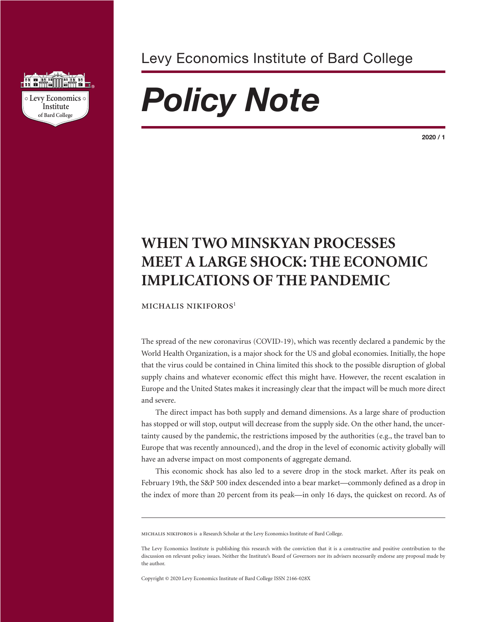

Levy Economics Institute of Bard College

# *Policy Note*

**2020 / 1**

# **WHEN TWO MINSKYAN PROCESSES MEET A LARGE SHOCK: THE ECONOMIC IMPLICATIONS OF THE PANDEMIC**

MICHALIS NIKIFOROS<sup>1</sup>

The spread of the new coronavirus (COVID-19), which was recently declared a pandemic by the World Health Organization, is a major shock for the US and global economies. Initially, the hope that the virus could be contained in China limited this shock to the possible disruption of global supply chains and whatever economic effect this might have. However, the recent escalation in Europe and the United States makes it increasingly clear that the impact will be much more direct and severe.

The direct impact has both supply and demand dimensions. As a large share of production has stopped or will stop, output will decrease from the supply side. On the other hand, the uncertainty caused by the pandemic, the restrictions imposed by the authorities (e.g., the travel ban to Europe that was recently announced), and the drop in the level of economic activity globally will have an adverse impact on most components of aggregate demand.

This economic shock has also led to a severe drop in the stock market. After its peak on February 19th, the S&P 500 index descended into a bear market—commonly defined as a drop in the index of more than 20 percent from its peak—in only 16 days, the quickest on record. As of

michalis nikiforos is a Research Scholar at the Levy Economics Institute of Bard College.

Copyright © 2020 Levy Economics Institute of Bard College ISSN 2166-028X

The Levy Economics Institute is publishing this research with the conviction that it is a constructive and positive contribution to the discussion on relevant policy issues. Neither the Institute's Board of Governors nor its advisers necessarily endorse any proposal made by the author.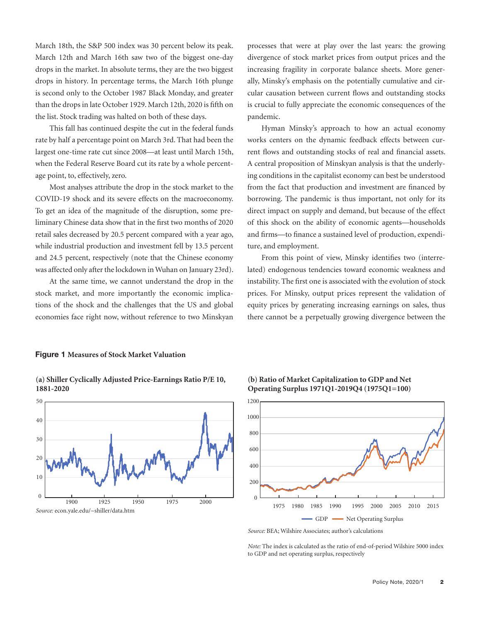March 18th, the S&P 500 index was 30 percent below its peak. March 12th and March 16th saw two of the biggest one-day drops in the market. In absolute terms, they are the two biggest drops in history. In percentage terms, the March 16th plunge is second only to the October 1987 Black Monday, and greater than the drops in late October 1929. March 12th, 2020 is fifth on the list. Stock trading was halted on both of these days.

This fall has continued despite the cut in the federal funds rate by half a percentage point on March 3rd. That had been the largest one-time rate cut since 2008—at least until March 15th, when the Federal Reserve Board cut its rate by a whole percentage point, to, effectively, zero.

Most analyses attribute the drop in the stock market to the COVID-19 shock and its severe effects on the macroeconomy. To get an idea of the magnitude of the disruption, some preliminary Chinese data show that in the first two months of 2020 retail sales decreased by 20.5 percent compared with a year ago, while industrial production and investment fell by 13.5 percent and 24.5 percent, respectively (note that the Chinese economy was affected only after the lockdown in Wuhan on January 23rd).

At the same time, we cannot understand the drop in the stock market, and more importantly the economic implications of the shock and the challenges that the US and global economies face right now, without reference to two Minskyan processes that were at play over the last years: the growing divergence of stock market prices from output prices and the increasing fragility in corporate balance sheets. More generally, Minsky's emphasis on the potentially cumulative and circular causation between current flows and outstanding stocks is crucial to fully appreciate the economic consequences of the pandemic.

Hyman Minsky's approach to how an actual economy works centers on the dynamic feedback effects between current flows and outstanding stocks of real and financial assets. A central proposition of Minskyan analysis is that the underlying conditions in the capitalist economy can best be understood from the fact that production and investment are financed by borrowing. The pandemic is thus important, not only for its direct impact on supply and demand, but because of the effect of this shock on the ability of economic agents—households and firms—to finance a sustained level of production, expenditure, and employment.

From this point of view, Minsky identifies two (interrelated) endogenous tendencies toward economic weakness and instability. The first one is associated with the evolution of stock prices. For Minsky, output prices represent the validation of equity prices by generating increasing earnings on sales, thus there cannot be a perpetually growing divergence between the

### **Figure 1 Measures of Stock Market Valuation**

**(a) Shiller Cyclically Adjusted Price-Earnings Ratio P/E 10, 1881-2020**







*Source:* BEA; Wilshire Associates; author's calculations

*Note:* The index is calculated as the ratio of end-of-period Wilshire 5000 index to GDP and net operating surplus, respectively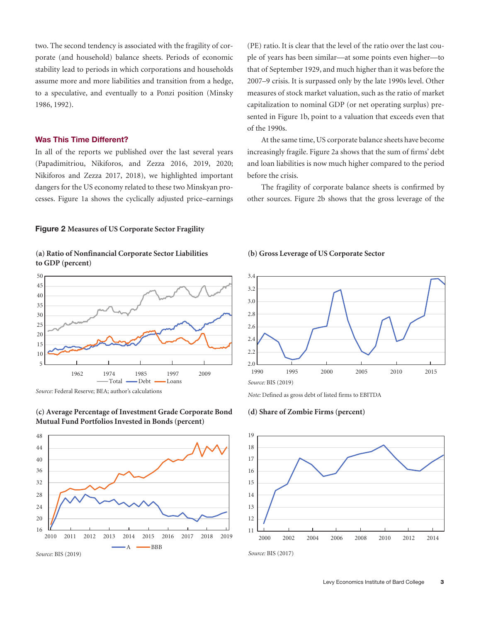two. The second tendency is associated with the fragility of corporate (and household) balance sheets. Periods of economic stability lead to periods in which corporations and households assume more and more liabilities and transition from a hedge, to a speculative, and eventually to a Ponzi position (Minsky 1986, 1992).

# **Was This Time Different?**

In all of the reports we published over the last several years (Papadimitriou, Nikiforos, and Zezza 2016, 2019, 2020; Nikiforos and Zezza 2017, 2018), we highlighted important dangers for the US economy related to these two Minskyan processes. Figure 1a shows the cyclically adjusted price–earnings (PE) ratio. It is clear that the level of the ratio over the last couple of years has been similar—at some points even higher—to that of September 1929, and much higher than it was before the 2007–9 crisis. It is surpassed only by the late 1990s level. Other measures of stock market valuation, such as the ratio of market capitalization to nominal GDP (or net operating surplus) presented in Figure 1b, point to a valuation that exceeds even that of the 1990s.

At the same time, US corporate balance sheets have become increasingly fragile. Figure 2a shows that the sum of firms' debt and loan liabilities is now much higher compared to the period before the crisis.

The fragility of corporate balance sheets is confirmed by other sources. Figure 2b shows that the gross leverage of the

### **Figure 2 Measures of US Corporate Sector Fragility**





*Source:* Federal Reserve; BEA; author's calculations



# **(c) Average Percentage of Investment Grade Corporate Bond Mutual Fund Portfolios Invested in Bonds (percent)**

# **(b) Gross Leverage of US Corporate Sector**



*Note:* Defined as gross debt of listed firms to EBITDA

#### **(d) Share of Zombie Firms (percent)**

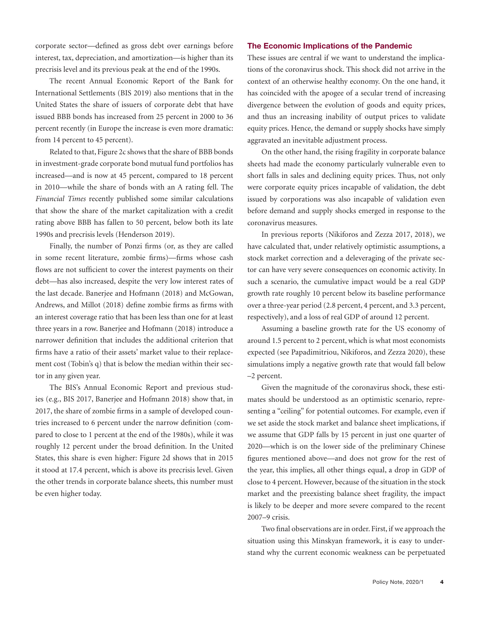corporate sector—defined as gross debt over earnings before interest, tax, depreciation, and amortization—is higher than its precrisis level and its previous peak at the end of the 1990s.

The recent Annual Economic Report of the Bank for International Settlements (BIS 2019) also mentions that in the United States the share of issuers of corporate debt that have issued BBB bonds has increased from 25 percent in 2000 to 36 percent recently (in Europe the increase is even more dramatic: from 14 percent to 45 percent).

Related to that, Figure 2c shows that the share of BBB bonds in investment-grade corporate bond mutual fund portfolios has increased—and is now at 45 percent, compared to 18 percent in 2010—while the share of bonds with an A rating fell. The *Financial Times* recently published some similar calculations that show the share of the market capitalization with a credit rating above BBB has fallen to 50 percent, below both its late 1990s and precrisis levels (Henderson 2019).

Finally, the number of Ponzi firms (or, as they are called in some recent literature, zombie firms)—firms whose cash flows are not sufficient to cover the interest payments on their debt—has also increased, despite the very low interest rates of the last decade. Banerjee and Hofmann (2018) and McGowan, Andrews, and Millot (2018) define zombie firms as firms with an interest coverage ratio that has been less than one for at least three years in a row. Banerjee and Hofmann (2018) introduce a narrower definition that includes the additional criterion that firms have a ratio of their assets' market value to their replacement cost (Tobin's q) that is below the median within their sector in any given year.

The BIS's Annual Economic Report and previous studies (e.g., BIS 2017, Banerjee and Hofmann 2018) show that, in 2017, the share of zombie firms in a sample of developed countries increased to 6 percent under the narrow definition (compared to close to 1 percent at the end of the 1980s), while it was roughly 12 percent under the broad definition. In the United States, this share is even higher: Figure 2d shows that in 2015 it stood at 17.4 percent, which is above its precrisis level. Given the other trends in corporate balance sheets, this number must be even higher today.

#### **The Economic Implications of the Pandemic**

These issues are central if we want to understand the implications of the coronavirus shock. This shock did not arrive in the context of an otherwise healthy economy. On the one hand, it has coincided with the apogee of a secular trend of increasing divergence between the evolution of goods and equity prices, and thus an increasing inability of output prices to validate equity prices. Hence, the demand or supply shocks have simply aggravated an inevitable adjustment process.

On the other hand, the rising fragility in corporate balance sheets had made the economy particularly vulnerable even to short falls in sales and declining equity prices. Thus, not only were corporate equity prices incapable of validation, the debt issued by corporations was also incapable of validation even before demand and supply shocks emerged in response to the coronavirus measures.

In previous reports (Nikiforos and Zezza 2017, 2018), we have calculated that, under relatively optimistic assumptions, a stock market correction and a deleveraging of the private sector can have very severe consequences on economic activity. In such a scenario, the cumulative impact would be a real GDP growth rate roughly 10 percent below its baseline performance over a three-year period (2.8 percent, 4 percent, and 3.3 percent, respectively), and a loss of real GDP of around 12 percent.

Assuming a baseline growth rate for the US economy of around 1.5 percent to 2 percent, which is what most economists expected (see Papadimitriou, Nikiforos, and Zezza 2020), these simulations imply a negative growth rate that would fall below –2 percent.

Given the magnitude of the coronavirus shock, these estimates should be understood as an optimistic scenario, representing a "ceiling" for potential outcomes. For example, even if we set aside the stock market and balance sheet implications, if we assume that GDP falls by 15 percent in just one quarter of 2020—which is on the lower side of the preliminary Chinese figures mentioned above—and does not grow for the rest of the year, this implies, all other things equal, a drop in GDP of close to 4 percent. However, because of the situation in the stock market and the preexisting balance sheet fragility, the impact is likely to be deeper and more severe compared to the recent 2007–9 crisis.

Two final observations are in order. First, if we approach the situation using this Minskyan framework, it is easy to understand why the current economic weakness can be perpetuated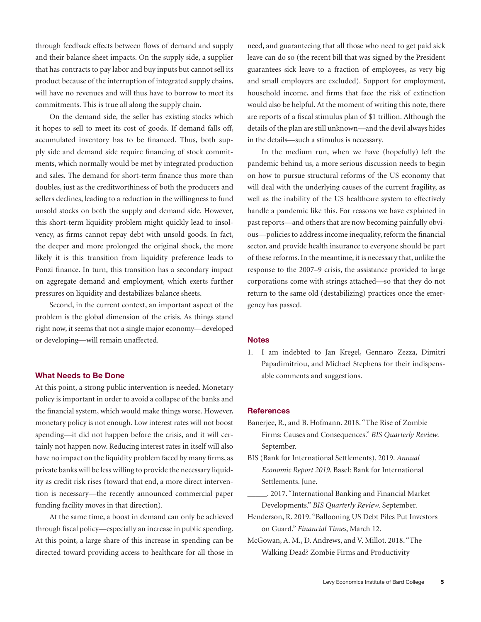through feedback effects between flows of demand and supply and their balance sheet impacts. On the supply side, a supplier that has contracts to pay labor and buy inputs but cannot sell its product because of the interruption of integrated supply chains, will have no revenues and will thus have to borrow to meet its commitments. This is true all along the supply chain.

On the demand side, the seller has existing stocks which it hopes to sell to meet its cost of goods. If demand falls off, accumulated inventory has to be financed. Thus, both supply side and demand side require financing of stock commitments, which normally would be met by integrated production and sales. The demand for short-term finance thus more than doubles, just as the creditworthiness of both the producers and sellers declines, leading to a reduction in the willingness to fund unsold stocks on both the supply and demand side. However, this short-term liquidity problem might quickly lead to insolvency, as firms cannot repay debt with unsold goods. In fact, the deeper and more prolonged the original shock, the more likely it is this transition from liquidity preference leads to Ponzi finance. In turn, this transition has a secondary impact on aggregate demand and employment, which exerts further pressures on liquidity and destabilizes balance sheets.

Second, in the current context, an important aspect of the problem is the global dimension of the crisis. As things stand right now, it seems that not a single major economy—developed or developing—will remain unaffected.

# **What Needs to Be Done**

At this point, a strong public intervention is needed. Monetary policy is important in order to avoid a collapse of the banks and the financial system, which would make things worse. However, monetary policy is not enough. Low interest rates will not boost spending—it did not happen before the crisis, and it will certainly not happen now. Reducing interest rates in itself will also have no impact on the liquidity problem faced by many firms, as private banks will be less willing to provide the necessary liquidity as credit risk rises (toward that end, a more direct intervention is necessary—the recently announced commercial paper funding facility moves in that direction).

At the same time, a boost in demand can only be achieved through fiscal policy—especially an increase in public spending. At this point, a large share of this increase in spending can be directed toward providing access to healthcare for all those in

need, and guaranteeing that all those who need to get paid sick leave can do so (the recent bill that was signed by the President guarantees sick leave to a fraction of employees, as very big and small employers are excluded). Support for employment, household income, and firms that face the risk of extinction would also be helpful. At the moment of writing this note, there are reports of a fiscal stimulus plan of \$1 trillion. Although the details of the plan are still unknown—and the devil always hides in the details—such a stimulus is necessary.

In the medium run, when we have (hopefully) left the pandemic behind us, a more serious discussion needs to begin on how to pursue structural reforms of the US economy that will deal with the underlying causes of the current fragility, as well as the inability of the US healthcare system to effectively handle a pandemic like this. For reasons we have explained in past reports—and others that are now becoming painfully obvious—policies to address income inequality, reform the financial sector, and provide health insurance to everyone should be part of these reforms. In the meantime, it is necessary that, unlike the response to the 2007–9 crisis, the assistance provided to large corporations come with strings attached—so that they do not return to the same old (destabilizing) practices once the emergency has passed.

#### **Notes**

1. I am indebted to Jan Kregel, Gennaro Zezza, Dimitri Papadimitriou, and Michael Stephens for their indispensable comments and suggestions.

## **References**

- Banerjee, R., and B. Hofmann. 2018. "The Rise of Zombie Firms: Causes and Consequences." *BIS Quarterly Review*. September.
- BIS (Bank for International Settlements). 2019. *Annual Economic Report 2019.* Basel: Bank for International Settlements. June.
- \_\_\_\_\_. 2017. "International Banking and Financial Market Developments." *BIS Quarterly Review*. September.
- Henderson, R. 2019. "Ballooning US Debt Piles Put Investors on Guard." *Financial Times*, March 12.
- McGowan, A. M., D. Andrews, and V. Millot. 2018. "The Walking Dead? Zombie Firms and Productivity